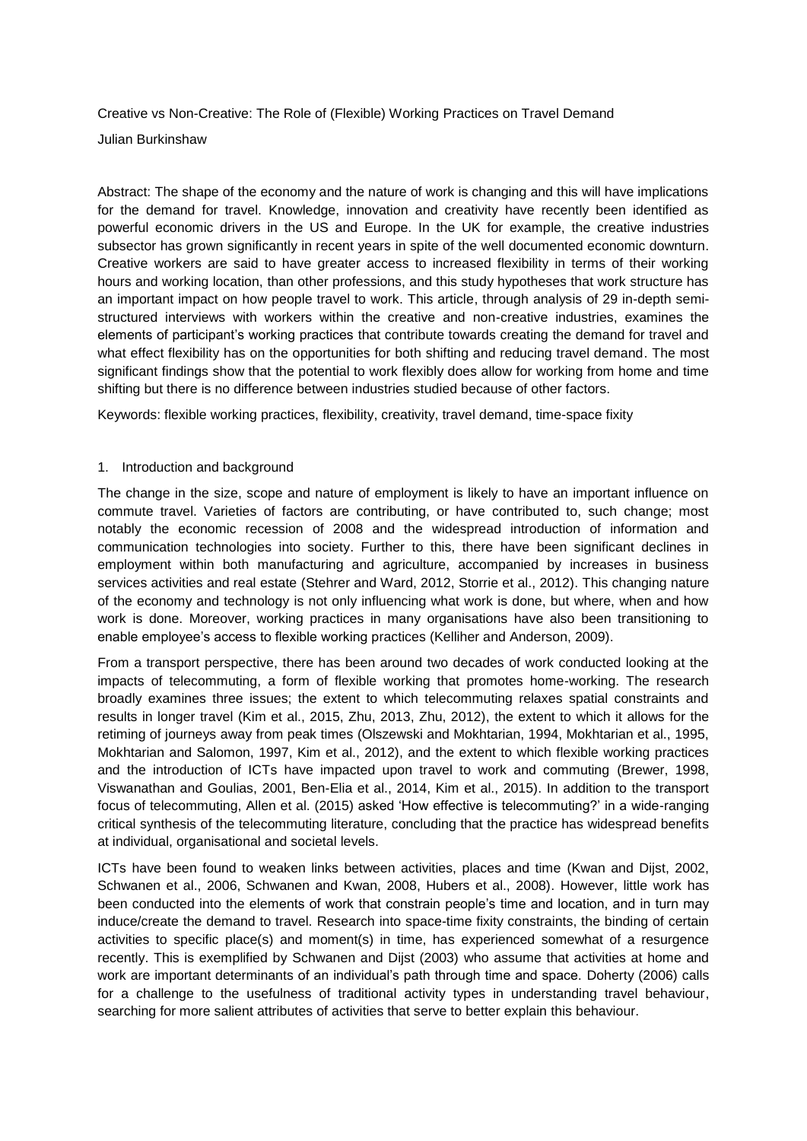Creative vs Non-Creative: The Role of (Flexible) Working Practices on Travel Demand Julian Burkinshaw

Abstract: The shape of the economy and the nature of work is changing and this will have implications for the demand for travel. Knowledge, innovation and creativity have recently been identified as powerful economic drivers in the US and Europe. In the UK for example, the creative industries subsector has grown significantly in recent years in spite of the well documented economic downturn. Creative workers are said to have greater access to increased flexibility in terms of their working hours and working location, than other professions, and this study hypotheses that work structure has an important impact on how people travel to work. This article, through analysis of 29 in-depth semistructured interviews with workers within the creative and non-creative industries, examines the elements of participant's working practices that contribute towards creating the demand for travel and what effect flexibility has on the opportunities for both shifting and reducing travel demand. The most significant findings show that the potential to work flexibly does allow for working from home and time shifting but there is no difference between industries studied because of other factors.

Keywords: flexible working practices, flexibility, creativity, travel demand, time-space fixity

#### 1. Introduction and background

The change in the size, scope and nature of employment is likely to have an important influence on commute travel. Varieties of factors are contributing, or have contributed to, such change; most notably the economic recession of 2008 and the widespread introduction of information and communication technologies into society. Further to this, there have been significant declines in employment within both manufacturing and agriculture, accompanied by increases in business services activities and real estate (Stehrer and Ward, 2012, Storrie et al., 2012). This changing nature of the economy and technology is not only influencing what work is done, but where, when and how work is done. Moreover, working practices in many organisations have also been transitioning to enable employee's access to flexible working practices (Kelliher and Anderson, 2009).

From a transport perspective, there has been around two decades of work conducted looking at the impacts of telecommuting, a form of flexible working that promotes home-working. The research broadly examines three issues; the extent to which telecommuting relaxes spatial constraints and results in longer travel (Kim et al., 2015, Zhu, 2013, Zhu, 2012), the extent to which it allows for the retiming of journeys away from peak times (Olszewski and Mokhtarian, 1994, Mokhtarian et al., 1995, Mokhtarian and Salomon, 1997, Kim et al., 2012), and the extent to which flexible working practices and the introduction of ICTs have impacted upon travel to work and commuting (Brewer, 1998, Viswanathan and Goulias, 2001, Ben-Elia et al., 2014, Kim et al., 2015). In addition to the transport focus of telecommuting, Allen et al. (2015) asked 'How effective is telecommuting?' in a wide-ranging critical synthesis of the telecommuting literature, concluding that the practice has widespread benefits at individual, organisational and societal levels.

ICTs have been found to weaken links between activities, places and time (Kwan and Dijst, 2002, Schwanen et al., 2006, Schwanen and Kwan, 2008, Hubers et al., 2008). However, little work has been conducted into the elements of work that constrain people's time and location, and in turn may induce/create the demand to travel. Research into space-time fixity constraints, the binding of certain activities to specific place(s) and moment(s) in time, has experienced somewhat of a resurgence recently. This is exemplified by Schwanen and Dijst (2003) who assume that activities at home and work are important determinants of an individual's path through time and space. Doherty (2006) calls for a challenge to the usefulness of traditional activity types in understanding travel behaviour, searching for more salient attributes of activities that serve to better explain this behaviour.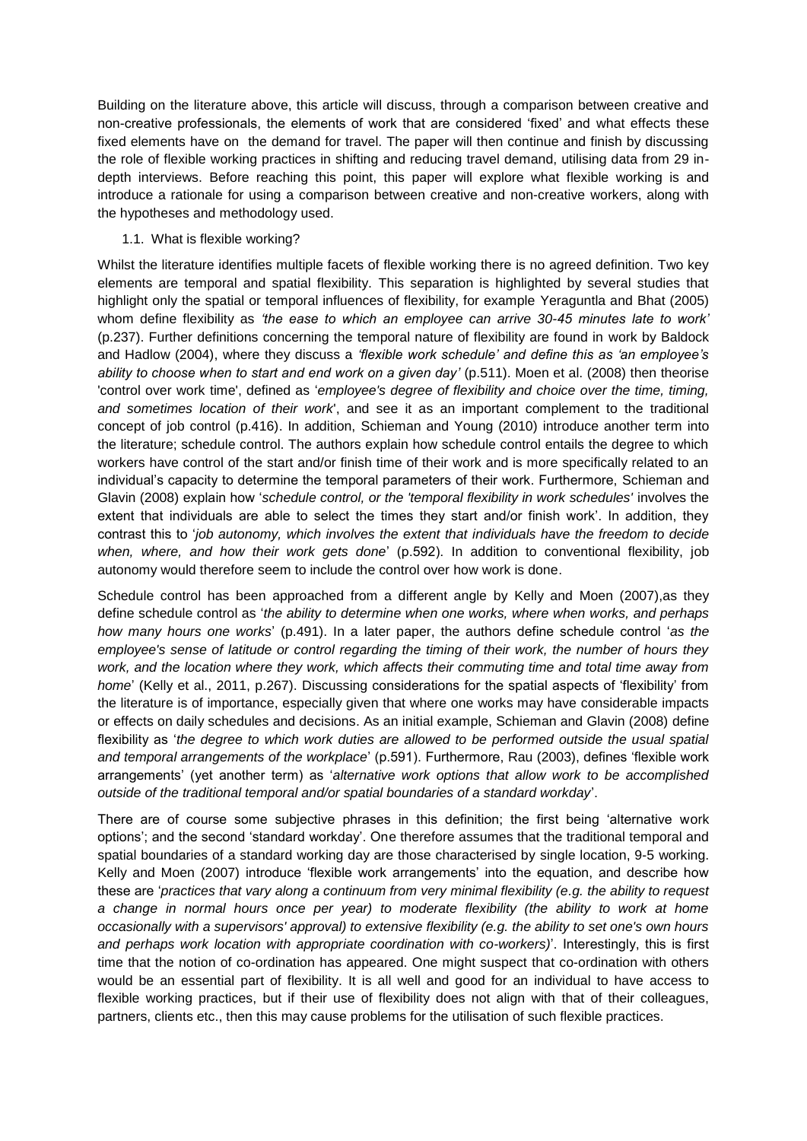Building on the literature above, this article will discuss, through a comparison between creative and non-creative professionals, the elements of work that are considered 'fixed' and what effects these fixed elements have on the demand for travel. The paper will then continue and finish by discussing the role of flexible working practices in shifting and reducing travel demand, utilising data from 29 indepth interviews. Before reaching this point, this paper will explore what flexible working is and introduce a rationale for using a comparison between creative and non-creative workers, along with the hypotheses and methodology used.

# 1.1. What is flexible working?

Whilst the literature identifies multiple facets of flexible working there is no agreed definition. Two key elements are temporal and spatial flexibility. This separation is highlighted by several studies that highlight only the spatial or temporal influences of flexibility, for example Yeraguntla and Bhat (2005) whom define flexibility as *'the ease to which an employee can arrive 30-45 minutes late to work'* (p.237). Further definitions concerning the temporal nature of flexibility are found in work by Baldock and Hadlow (2004), where they discuss a *'flexible work schedule' and define this as 'an employee's ability to choose when to start and end work on a given day'* (p.511). Moen et al. (2008) then theorise 'control over work time', defined as '*employee's degree of flexibility and choice over the time, timing, and sometimes location of their work*', and see it as an important complement to the traditional concept of job control (p.416). In addition, Schieman and Young (2010) introduce another term into the literature; schedule control. The authors explain how schedule control entails the degree to which workers have control of the start and/or finish time of their work and is more specifically related to an individual's capacity to determine the temporal parameters of their work. Furthermore, Schieman and Glavin (2008) explain how '*schedule control, or the 'temporal flexibility in work schedules'* involves the extent that individuals are able to select the times they start and/or finish work'. In addition, they contrast this to '*job autonomy, which involves the extent that individuals have the freedom to decide when, where, and how their work gets done*' (p.592). In addition to conventional flexibility, job autonomy would therefore seem to include the control over how work is done.

Schedule control has been approached from a different angle by Kelly and Moen (2007),as they define schedule control as '*the ability to determine when one works, where when works, and perhaps how many hours one works*' (p.491). In a later paper, the authors define schedule control '*as the employee's sense of latitude or control regarding the timing of their work, the number of hours they work, and the location where they work, which affects their commuting time and total time away from home*' (Kelly et al., 2011, p.267). Discussing considerations for the spatial aspects of 'flexibility' from the literature is of importance, especially given that where one works may have considerable impacts or effects on daily schedules and decisions. As an initial example, Schieman and Glavin (2008) define flexibility as 'the degree to which work duties are allowed to be performed outside the usual spatial *and temporal arrangements of the workplace*' (p.591). Furthermore, Rau (2003), defines 'flexible work arrangements' (yet another term) as '*alternative work options that allow work to be accomplished outside of the traditional temporal and/or spatial boundaries of a standard workday*'.

There are of course some subjective phrases in this definition; the first being 'alternative work options'; and the second 'standard workday'. One therefore assumes that the traditional temporal and spatial boundaries of a standard working day are those characterised by single location, 9-5 working. Kelly and Moen (2007) introduce 'flexible work arrangements' into the equation, and describe how these are '*practices that vary along a continuum from very minimal flexibility (e.g. the ability to request a change in normal hours once per year) to moderate flexibility (the ability to work at home occasionally with a supervisors' approval) to extensive flexibility (e.g. the ability to set one's own hours and perhaps work location with appropriate coordination with co-workers)*'. Interestingly, this is first time that the notion of co-ordination has appeared. One might suspect that co-ordination with others would be an essential part of flexibility. It is all well and good for an individual to have access to flexible working practices, but if their use of flexibility does not align with that of their colleagues, partners, clients etc., then this may cause problems for the utilisation of such flexible practices.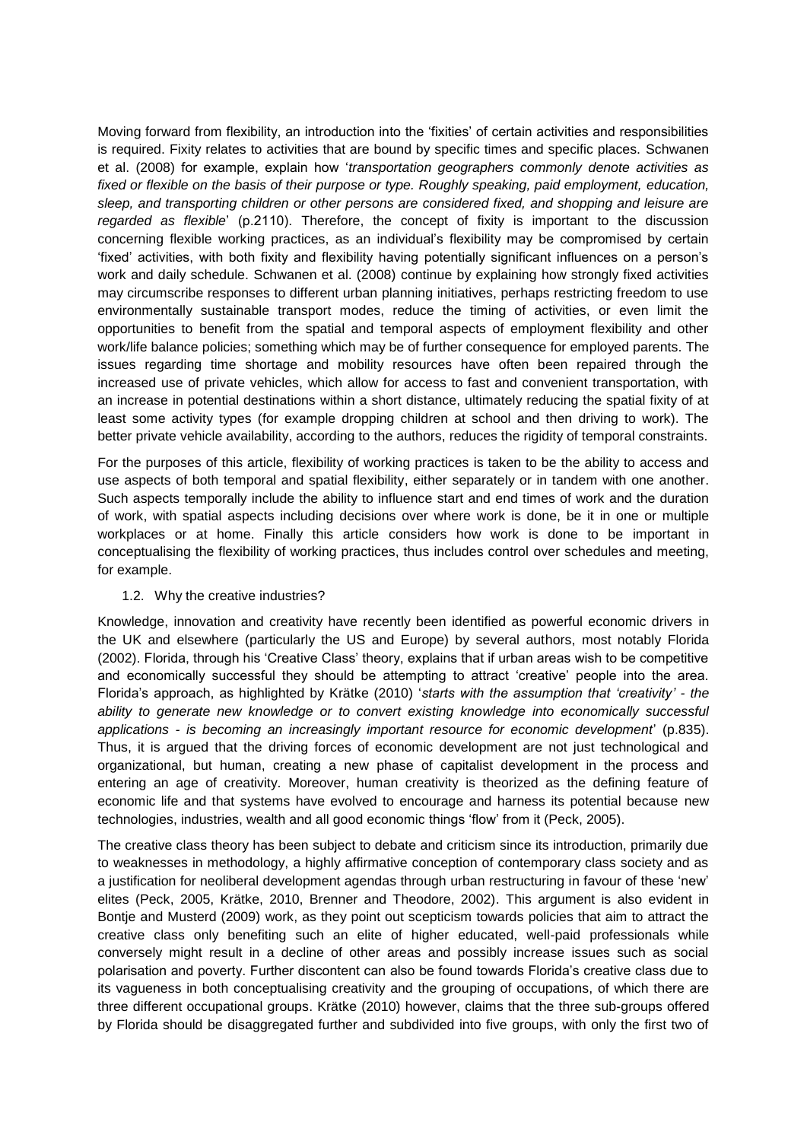Moving forward from flexibility, an introduction into the 'fixities' of certain activities and responsibilities is required. Fixity relates to activities that are bound by specific times and specific places. Schwanen et al. (2008) for example, explain how '*transportation geographers commonly denote activities as fixed or flexible on the basis of their purpose or type. Roughly speaking, paid employment, education, sleep, and transporting children or other persons are considered fixed, and shopping and leisure are regarded as flexible*' (p.2110). Therefore, the concept of fixity is important to the discussion concerning flexible working practices, as an individual's flexibility may be compromised by certain 'fixed' activities, with both fixity and flexibility having potentially significant influences on a person's work and daily schedule. Schwanen et al. (2008) continue by explaining how strongly fixed activities may circumscribe responses to different urban planning initiatives, perhaps restricting freedom to use environmentally sustainable transport modes, reduce the timing of activities, or even limit the opportunities to benefit from the spatial and temporal aspects of employment flexibility and other work/life balance policies; something which may be of further consequence for employed parents. The issues regarding time shortage and mobility resources have often been repaired through the increased use of private vehicles, which allow for access to fast and convenient transportation, with an increase in potential destinations within a short distance, ultimately reducing the spatial fixity of at least some activity types (for example dropping children at school and then driving to work). The better private vehicle availability, according to the authors, reduces the rigidity of temporal constraints.

For the purposes of this article, flexibility of working practices is taken to be the ability to access and use aspects of both temporal and spatial flexibility, either separately or in tandem with one another. Such aspects temporally include the ability to influence start and end times of work and the duration of work, with spatial aspects including decisions over where work is done, be it in one or multiple workplaces or at home. Finally this article considers how work is done to be important in conceptualising the flexibility of working practices, thus includes control over schedules and meeting, for example.

#### 1.2. Why the creative industries?

Knowledge, innovation and creativity have recently been identified as powerful economic drivers in the UK and elsewhere (particularly the US and Europe) by several authors, most notably Florida (2002). Florida, through his 'Creative Class' theory, explains that if urban areas wish to be competitive and economically successful they should be attempting to attract 'creative' people into the area. Florida's approach, as highlighted by Krätke (2010) '*starts with the assumption that 'creativity' - the ability to generate new knowledge or to convert existing knowledge into economically successful applications - is becoming an increasingly important resource for economic development*' (p.835). Thus, it is argued that the driving forces of economic development are not just technological and organizational, but human, creating a new phase of capitalist development in the process and entering an age of creativity. Moreover, human creativity is theorized as the defining feature of economic life and that systems have evolved to encourage and harness its potential because new technologies, industries, wealth and all good economic things 'flow' from it (Peck, 2005).

The creative class theory has been subject to debate and criticism since its introduction, primarily due to weaknesses in methodology, a highly affirmative conception of contemporary class society and as a justification for neoliberal development agendas through urban restructuring in favour of these 'new' elites (Peck, 2005, Krätke, 2010, Brenner and Theodore, 2002). This argument is also evident in Bontje and Musterd (2009) work, as they point out scepticism towards policies that aim to attract the creative class only benefiting such an elite of higher educated, well-paid professionals while conversely might result in a decline of other areas and possibly increase issues such as social polarisation and poverty. Further discontent can also be found towards Florida's creative class due to its vagueness in both conceptualising creativity and the grouping of occupations, of which there are three different occupational groups. Krätke (2010) however, claims that the three sub-groups offered by Florida should be disaggregated further and subdivided into five groups, with only the first two of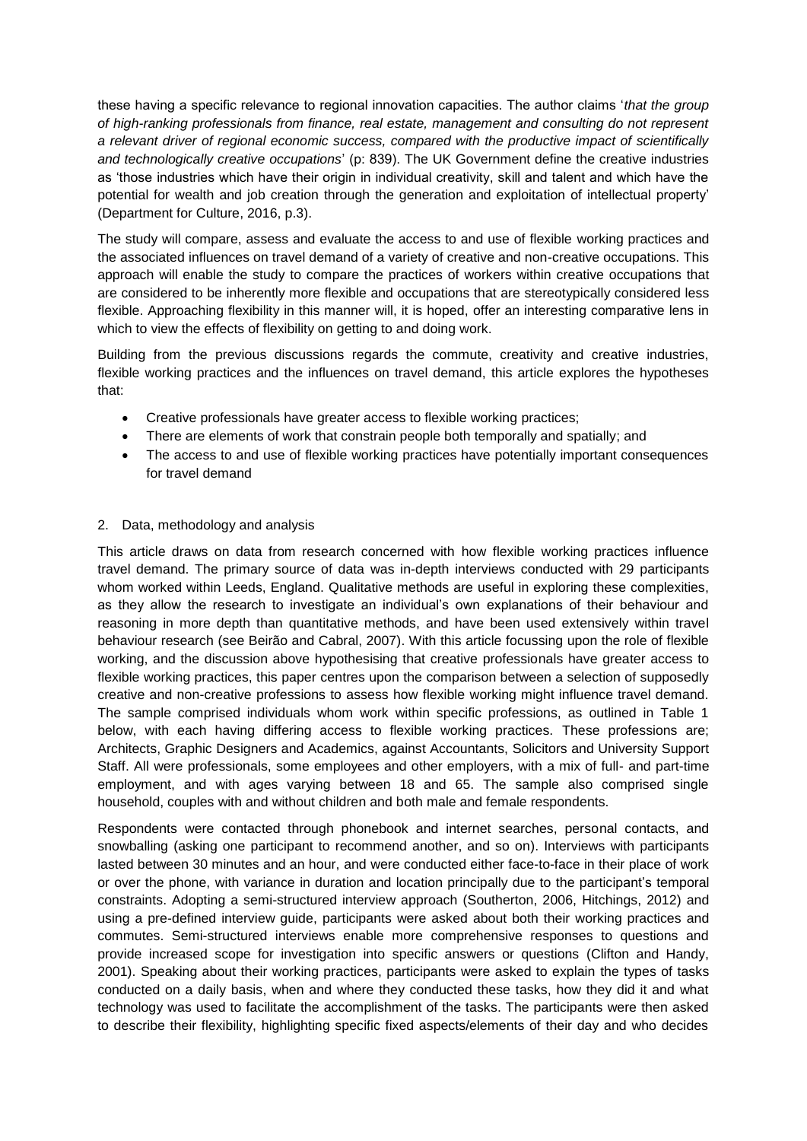these having a specific relevance to regional innovation capacities. The author claims '*that the group of high-ranking professionals from finance, real estate, management and consulting do not represent a relevant driver of regional economic success, compared with the productive impact of scientifically and technologically creative occupations*' (p: 839). The UK Government define the creative industries as 'those industries which have their origin in individual creativity, skill and talent and which have the potential for wealth and job creation through the generation and exploitation of intellectual property' (Department for Culture, 2016, p.3).

The study will compare, assess and evaluate the access to and use of flexible working practices and the associated influences on travel demand of a variety of creative and non-creative occupations. This approach will enable the study to compare the practices of workers within creative occupations that are considered to be inherently more flexible and occupations that are stereotypically considered less flexible. Approaching flexibility in this manner will, it is hoped, offer an interesting comparative lens in which to view the effects of flexibility on getting to and doing work.

Building from the previous discussions regards the commute, creativity and creative industries, flexible working practices and the influences on travel demand, this article explores the hypotheses that:

- Creative professionals have greater access to flexible working practices;
- There are elements of work that constrain people both temporally and spatially; and
- The access to and use of flexible working practices have potentially important consequences for travel demand

# 2. Data, methodology and analysis

This article draws on data from research concerned with how flexible working practices influence travel demand. The primary source of data was in-depth interviews conducted with 29 participants whom worked within Leeds, England. Qualitative methods are useful in exploring these complexities, as they allow the research to investigate an individual's own explanations of their behaviour and reasoning in more depth than quantitative methods, and have been used extensively within travel behaviour research (see Beirão and Cabral, 2007). With this article focussing upon the role of flexible working, and the discussion above hypothesising that creative professionals have greater access to flexible working practices, this paper centres upon the comparison between a selection of supposedly creative and non-creative professions to assess how flexible working might influence travel demand. The sample comprised individuals whom work within specific professions, as outlined in Table 1 below, with each having differing access to flexible working practices. These professions are; Architects, Graphic Designers and Academics, against Accountants, Solicitors and University Support Staff. All were professionals, some employees and other employers, with a mix of full- and part-time employment, and with ages varying between 18 and 65. The sample also comprised single household, couples with and without children and both male and female respondents.

Respondents were contacted through phonebook and internet searches, personal contacts, and snowballing (asking one participant to recommend another, and so on). Interviews with participants lasted between 30 minutes and an hour, and were conducted either face-to-face in their place of work or over the phone, with variance in duration and location principally due to the participant's temporal constraints. Adopting a semi-structured interview approach (Southerton, 2006, Hitchings, 2012) and using a pre-defined interview guide, participants were asked about both their working practices and commutes. Semi-structured interviews enable more comprehensive responses to questions and provide increased scope for investigation into specific answers or questions (Clifton and Handy, 2001). Speaking about their working practices, participants were asked to explain the types of tasks conducted on a daily basis, when and where they conducted these tasks, how they did it and what technology was used to facilitate the accomplishment of the tasks. The participants were then asked to describe their flexibility, highlighting specific fixed aspects/elements of their day and who decides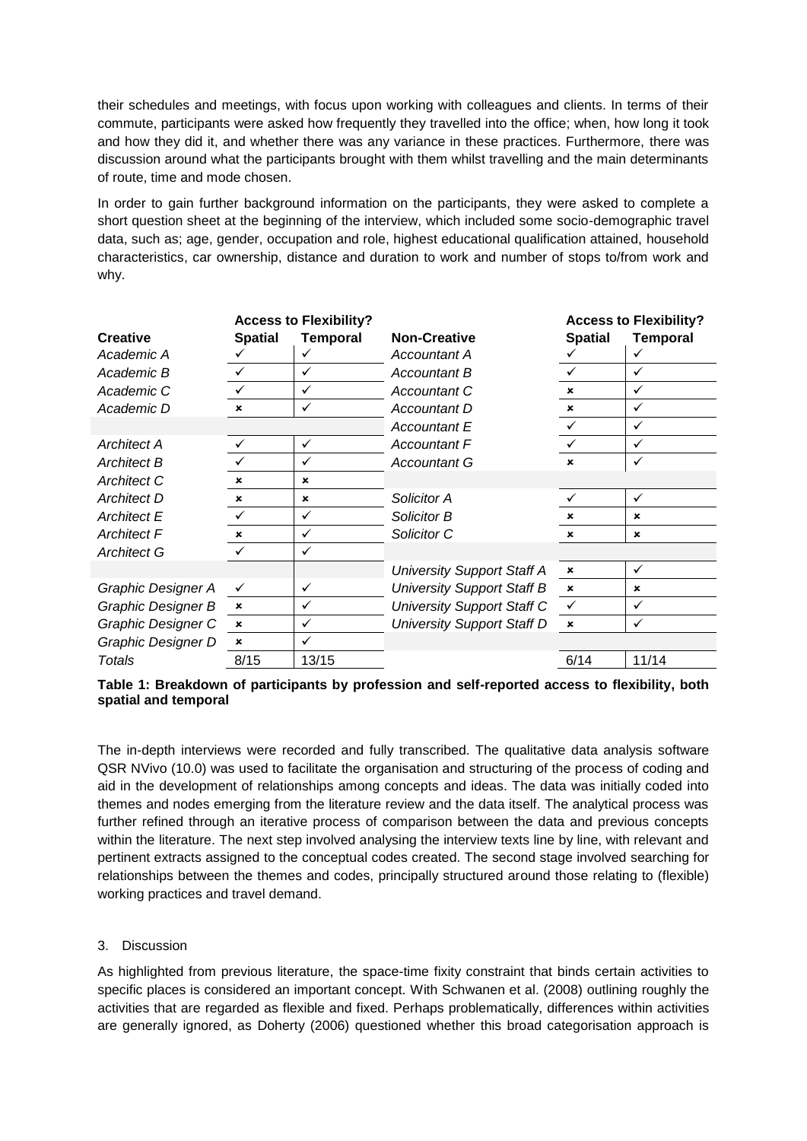their schedules and meetings, with focus upon working with colleagues and clients. In terms of their commute, participants were asked how frequently they travelled into the office; when, how long it took and how they did it, and whether there was any variance in these practices. Furthermore, there was discussion around what the participants brought with them whilst travelling and the main determinants of route, time and mode chosen.

In order to gain further background information on the participants, they were asked to complete a short question sheet at the beginning of the interview, which included some socio-demographic travel data, such as; age, gender, occupation and role, highest educational qualification attained, household characteristics, car ownership, distance and duration to work and number of stops to/from work and why.

|                    |                           | <b>Access to Flexibility?</b> |                                   |                           | <b>Access to Flexibility?</b> |  |
|--------------------|---------------------------|-------------------------------|-----------------------------------|---------------------------|-------------------------------|--|
| <b>Creative</b>    | <b>Spatial</b>            | <b>Temporal</b>               | <b>Non-Creative</b>               | <b>Spatial</b>            | <b>Temporal</b>               |  |
| Academic A         |                           | ✓                             | Accountant A                      |                           | ✓                             |  |
| Academic B         | $\checkmark$              | ✓                             | Accountant B                      |                           | ✓                             |  |
| Academic C         |                           | ✓                             | Accountant C                      | $\boldsymbol{\mathsf{x}}$ | ✓                             |  |
| Academic D         | $\boldsymbol{\mathsf{x}}$ | ✓                             | Accountant D                      | $\mathbf x$               | ✓                             |  |
|                    |                           |                               | <b>Accountant E</b>               | ✓                         | ✓                             |  |
| <b>Architect A</b> |                           | ✓                             | <b>Accountant F</b>               |                           | ✓                             |  |
| <b>Architect B</b> |                           | ✓                             | <b>Accountant G</b>               | ×                         | ✓                             |  |
| <b>Architect C</b> | $\mathbf x$               | $\pmb{\times}$                |                                   |                           |                               |  |
| <b>Architect D</b> | $\mathbf{x}$              | $\boldsymbol{\mathsf{x}}$     | Solicitor A                       |                           | ✓                             |  |
| <b>Architect E</b> |                           | ✓                             | Solicitor B                       | ×                         | ×                             |  |
| <b>Architect F</b> | $\mathbf x$               | ✓                             | Solicitor C                       | $\boldsymbol{\mathsf{x}}$ | $\boldsymbol{\mathsf{x}}$     |  |
| <b>Architect G</b> | $\checkmark$              | $\checkmark$                  |                                   |                           |                               |  |
|                    |                           |                               | <b>University Support Staff A</b> | $\pmb{\times}$            | ✓                             |  |
| Graphic Designer A | ✓                         | $\checkmark$                  | <b>University Support Staff B</b> | $\boldsymbol{\mathsf{x}}$ | ×                             |  |
| Graphic Designer B | $\pmb{\times}$            | ✓                             | <b>University Support Staff C</b> | $\checkmark$              | ✓                             |  |
| Graphic Designer C | $\boldsymbol{\mathsf{x}}$ | ✓                             | <b>University Support Staff D</b> | $\mathbf x$               | ✓                             |  |
| Graphic Designer D | $\boldsymbol{\mathsf{x}}$ | ✓                             |                                   |                           |                               |  |
| Totals             | 8/15                      | 13/15                         |                                   | 6/14                      | 11/14                         |  |

# **Table 1: Breakdown of participants by profession and self-reported access to flexibility, both spatial and temporal**

The in-depth interviews were recorded and fully transcribed. The qualitative data analysis software QSR NVivo (10.0) was used to facilitate the organisation and structuring of the process of coding and aid in the development of relationships among concepts and ideas. The data was initially coded into themes and nodes emerging from the literature review and the data itself. The analytical process was further refined through an iterative process of comparison between the data and previous concepts within the literature. The next step involved analysing the interview texts line by line, with relevant and pertinent extracts assigned to the conceptual codes created. The second stage involved searching for relationships between the themes and codes, principally structured around those relating to (flexible) working practices and travel demand.

# 3. Discussion

As highlighted from previous literature, the space-time fixity constraint that binds certain activities to specific places is considered an important concept. With Schwanen et al. (2008) outlining roughly the activities that are regarded as flexible and fixed. Perhaps problematically, differences within activities are generally ignored, as Doherty (2006) questioned whether this broad categorisation approach is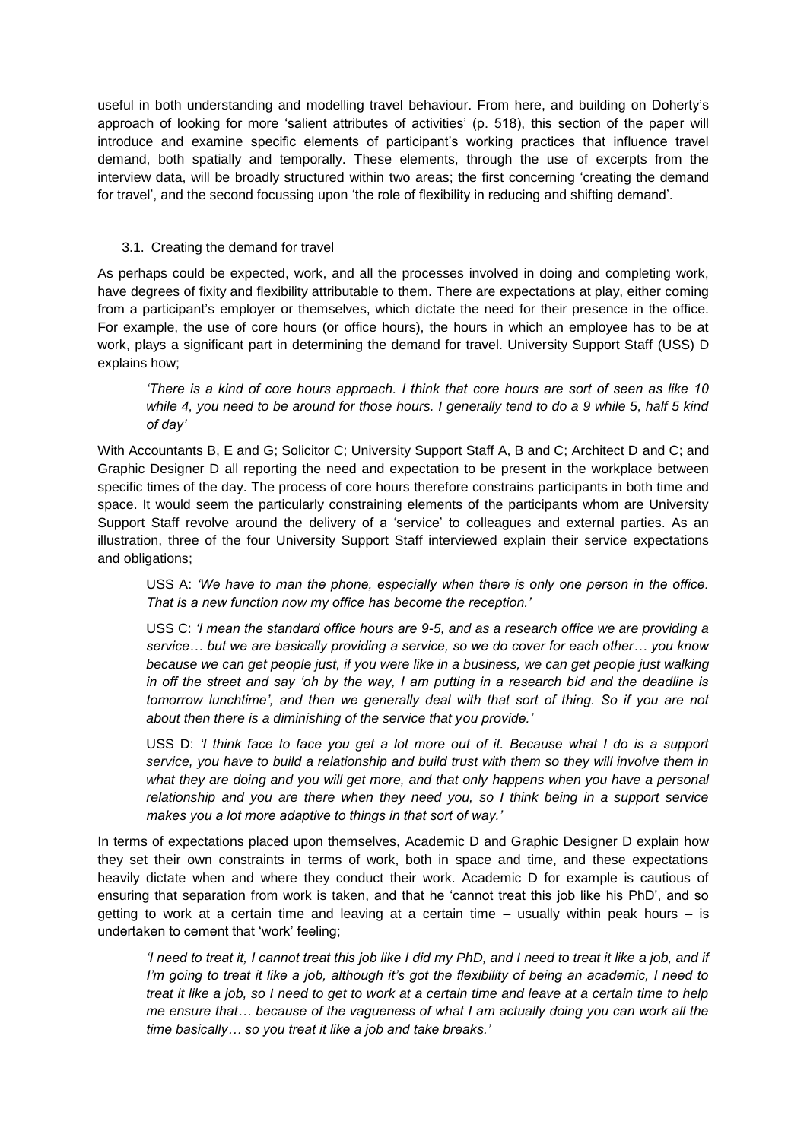useful in both understanding and modelling travel behaviour. From here, and building on Doherty's approach of looking for more 'salient attributes of activities' (p. 518), this section of the paper will introduce and examine specific elements of participant's working practices that influence travel demand, both spatially and temporally. These elements, through the use of excerpts from the interview data, will be broadly structured within two areas; the first concerning 'creating the demand for travel', and the second focussing upon 'the role of flexibility in reducing and shifting demand'.

# 3.1. Creating the demand for travel

As perhaps could be expected, work, and all the processes involved in doing and completing work, have degrees of fixity and flexibility attributable to them. There are expectations at play, either coming from a participant's employer or themselves, which dictate the need for their presence in the office. For example, the use of core hours (or office hours), the hours in which an employee has to be at work, plays a significant part in determining the demand for travel. University Support Staff (USS) D explains how;

*'There is a kind of core hours approach. I think that core hours are sort of seen as like 10 while 4, you need to be around for those hours. I generally tend to do a 9 while 5, half 5 kind of day'*

With Accountants B, E and G; Solicitor C; University Support Staff A, B and C; Architect D and C; and Graphic Designer D all reporting the need and expectation to be present in the workplace between specific times of the day. The process of core hours therefore constrains participants in both time and space. It would seem the particularly constraining elements of the participants whom are University Support Staff revolve around the delivery of a 'service' to colleagues and external parties. As an illustration, three of the four University Support Staff interviewed explain their service expectations and obligations;

USS A: *'We have to man the phone, especially when there is only one person in the office. That is a new function now my office has become the reception.'*

USS C: *'I mean the standard office hours are 9-5, and as a research office we are providing a service… but we are basically providing a service, so we do cover for each other… you know because we can get people just, if you were like in a business, we can get people just walking in off the street and say 'oh by the way, I am putting in a research bid and the deadline is tomorrow lunchtime', and then we generally deal with that sort of thing. So if you are not about then there is a diminishing of the service that you provide.'*

USS D: *'I think face to face you get a lot more out of it. Because what I do is a support service, you have to build a relationship and build trust with them so they will involve them in what they are doing and you will get more, and that only happens when you have a personal relationship and you are there when they need you, so I think being in a support service makes you a lot more adaptive to things in that sort of way.'*

In terms of expectations placed upon themselves, Academic D and Graphic Designer D explain how they set their own constraints in terms of work, both in space and time, and these expectations heavily dictate when and where they conduct their work. Academic D for example is cautious of ensuring that separation from work is taken, and that he 'cannot treat this job like his PhD', and so getting to work at a certain time and leaving at a certain time – usually within peak hours – is undertaken to cement that 'work' feeling;

*'I need to treat it, I cannot treat this job like I did my PhD, and I need to treat it like a job, and if I'm going to treat it like a job, although it's got the flexibility of being an academic, I need to treat it like a job, so I need to get to work at a certain time and leave at a certain time to help me ensure that… because of the vagueness of what I am actually doing you can work all the time basically… so you treat it like a job and take breaks.'*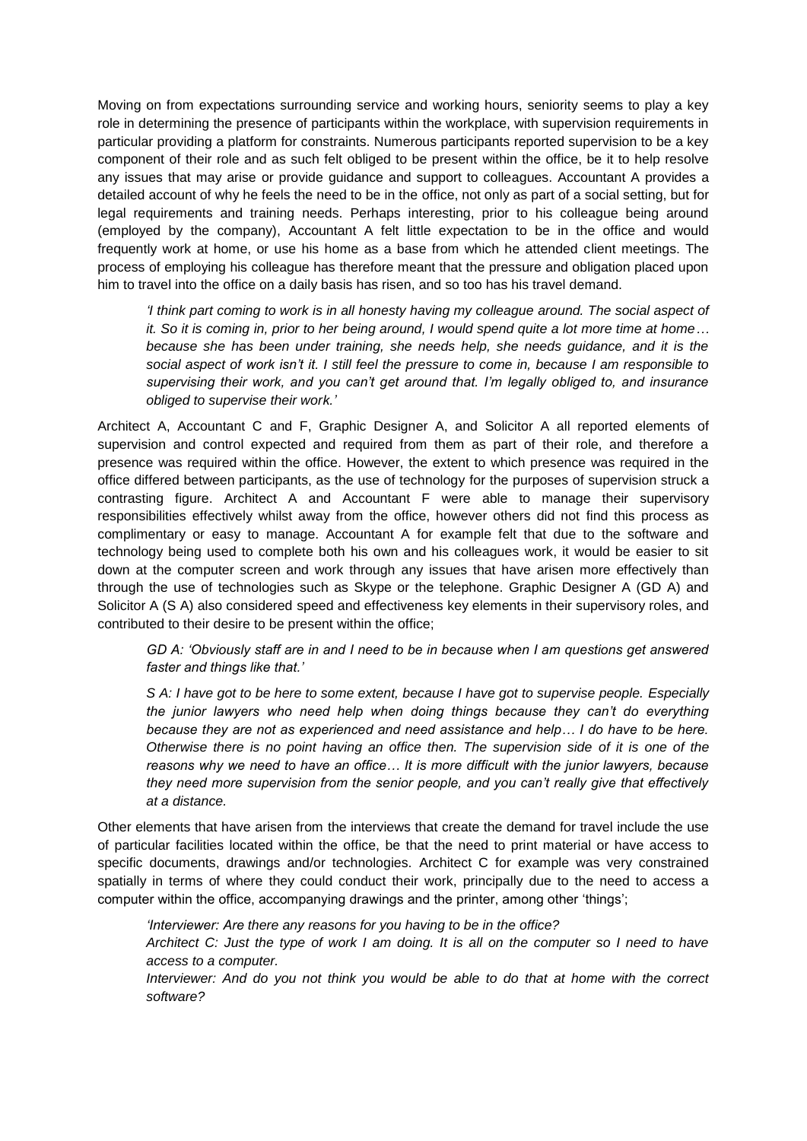Moving on from expectations surrounding service and working hours, seniority seems to play a key role in determining the presence of participants within the workplace, with supervision requirements in particular providing a platform for constraints. Numerous participants reported supervision to be a key component of their role and as such felt obliged to be present within the office, be it to help resolve any issues that may arise or provide guidance and support to colleagues. Accountant A provides a detailed account of why he feels the need to be in the office, not only as part of a social setting, but for legal requirements and training needs. Perhaps interesting, prior to his colleague being around (employed by the company), Accountant A felt little expectation to be in the office and would frequently work at home, or use his home as a base from which he attended client meetings. The process of employing his colleague has therefore meant that the pressure and obligation placed upon him to travel into the office on a daily basis has risen, and so too has his travel demand.

*'I think part coming to work is in all honesty having my colleague around. The social aspect of it. So it is coming in, prior to her being around, I would spend quite a lot more time at home… because she has been under training, she needs help, she needs guidance, and it is the social aspect of work isn't it. I still feel the pressure to come in, because I am responsible to supervising their work, and you can't get around that. I'm legally obliged to, and insurance obliged to supervise their work.'*

Architect A, Accountant C and F, Graphic Designer A, and Solicitor A all reported elements of supervision and control expected and required from them as part of their role, and therefore a presence was required within the office. However, the extent to which presence was required in the office differed between participants, as the use of technology for the purposes of supervision struck a contrasting figure. Architect A and Accountant F were able to manage their supervisory responsibilities effectively whilst away from the office, however others did not find this process as complimentary or easy to manage. Accountant A for example felt that due to the software and technology being used to complete both his own and his colleagues work, it would be easier to sit down at the computer screen and work through any issues that have arisen more effectively than through the use of technologies such as Skype or the telephone. Graphic Designer A (GD A) and Solicitor A (S A) also considered speed and effectiveness key elements in their supervisory roles, and contributed to their desire to be present within the office;

*GD A: 'Obviously staff are in and I need to be in because when I am questions get answered faster and things like that.'*

*S A: I have got to be here to some extent, because I have got to supervise people. Especially the junior lawyers who need help when doing things because they can't do everything because they are not as experienced and need assistance and help… I do have to be here. Otherwise there is no point having an office then. The supervision side of it is one of the reasons why we need to have an office… It is more difficult with the junior lawyers, because they need more supervision from the senior people, and you can't really give that effectively at a distance.*

Other elements that have arisen from the interviews that create the demand for travel include the use of particular facilities located within the office, be that the need to print material or have access to specific documents, drawings and/or technologies. Architect C for example was very constrained spatially in terms of where they could conduct their work, principally due to the need to access a computer within the office, accompanying drawings and the printer, among other 'things';

*'Interviewer: Are there any reasons for you having to be in the office? Architect C: Just the type of work I am doing. It is all on the computer so I need to have access to a computer.*

*Interviewer: And do you not think you would be able to do that at home with the correct software?*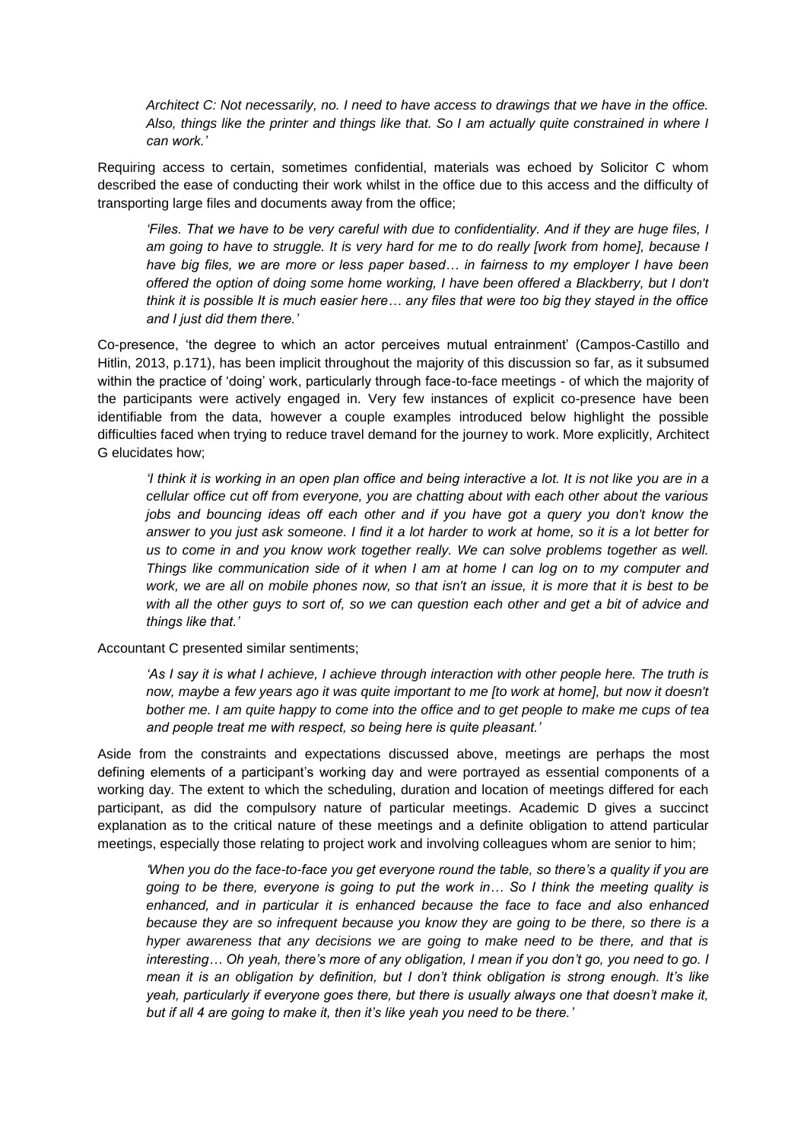*Architect C: Not necessarily, no. I need to have access to drawings that we have in the office. Also, things like the printer and things like that. So I am actually quite constrained in where I can work.'*

Requiring access to certain, sometimes confidential, materials was echoed by Solicitor C whom described the ease of conducting their work whilst in the office due to this access and the difficulty of transporting large files and documents away from the office;

*'Files. That we have to be very careful with due to confidentiality. And if they are huge files, I am going to have to struggle. It is very hard for me to do really [work from home], because I have big files, we are more or less paper based… in fairness to my employer I have been offered the option of doing some home working, I have been offered a Blackberry, but I don't think it is possible It is much easier here… any files that were too big they stayed in the office and I just did them there.'*

Co-presence, 'the degree to which an actor perceives mutual entrainment' (Campos-Castillo and Hitlin, 2013, p.171), has been implicit throughout the majority of this discussion so far, as it subsumed within the practice of 'doing' work, particularly through face-to-face meetings - of which the majority of the participants were actively engaged in. Very few instances of explicit co-presence have been identifiable from the data, however a couple examples introduced below highlight the possible difficulties faced when trying to reduce travel demand for the journey to work. More explicitly, Architect G elucidates how;

*'I think it is working in an open plan office and being interactive a lot. It is not like you are in a cellular office cut off from everyone, you are chatting about with each other about the various jobs and bouncing ideas off each other and if you have got a guery you don't know the answer to you just ask someone. I find it a lot harder to work at home, so it is a lot better for us to come in and you know work together really. We can solve problems together as well. Things like communication side of it when I am at home I can log on to my computer and work, we are all on mobile phones now, so that isn't an issue, it is more that it is best to be*  with all the other guys to sort of, so we can question each other and get a bit of advice and *things like that.'*

Accountant C presented similar sentiments;

*'As I say it is what I achieve, I achieve through interaction with other people here. The truth is now, maybe a few years ago it was quite important to me [to work at home], but now it doesn't bother me. I am quite happy to come into the office and to get people to make me cups of tea and people treat me with respect, so being here is quite pleasant.'*

Aside from the constraints and expectations discussed above, meetings are perhaps the most defining elements of a participant's working day and were portrayed as essential components of a working day. The extent to which the scheduling, duration and location of meetings differed for each participant, as did the compulsory nature of particular meetings. Academic D gives a succinct explanation as to the critical nature of these meetings and a definite obligation to attend particular meetings, especially those relating to project work and involving colleagues whom are senior to him;

*'When you do the face-to-face you get everyone round the table, so there's a quality if you are going to be there, everyone is going to put the work in… So I think the meeting quality is enhanced, and in particular it is enhanced because the face to face and also enhanced because they are so infrequent because you know they are going to be there, so there is a hyper awareness that any decisions we are going to make need to be there, and that is interesting… Oh yeah, there's more of any obligation, I mean if you don't go, you need to go. I mean it is an obligation by definition, but I don't think obligation is strong enough. It's like yeah, particularly if everyone goes there, but there is usually always one that doesn't make it, but if all 4 are going to make it, then it's like yeah you need to be there.'*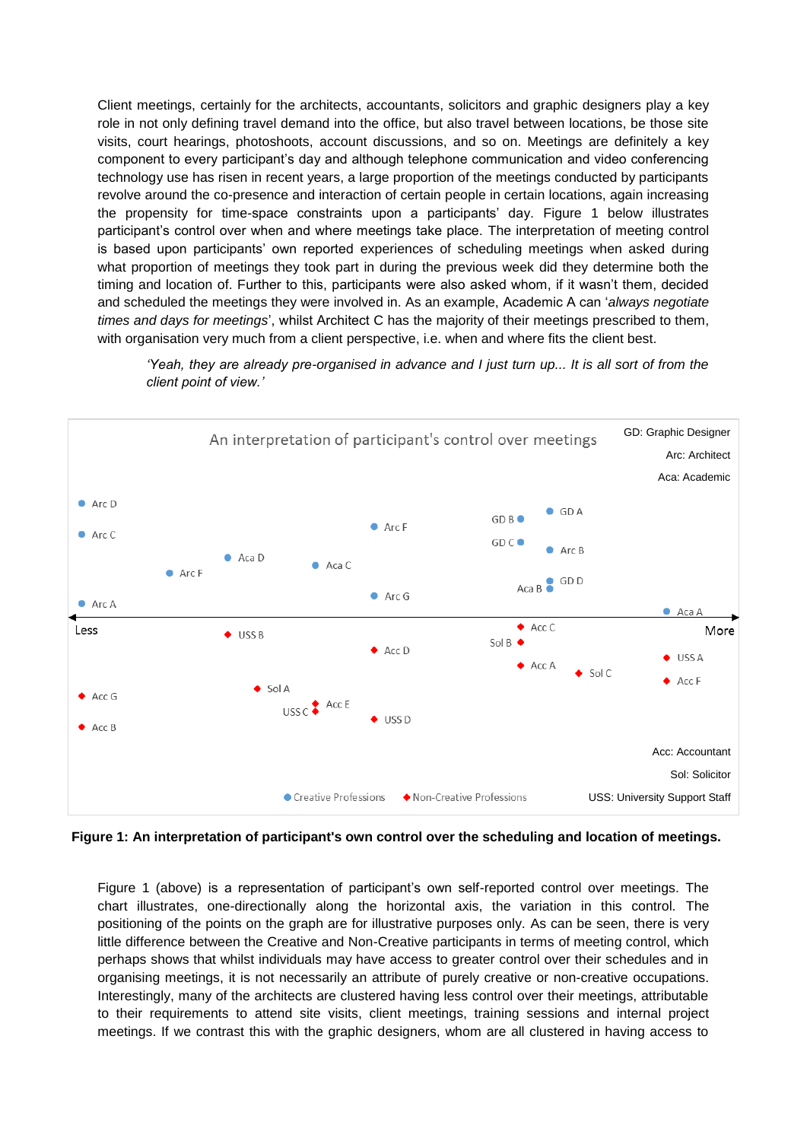Client meetings, certainly for the architects, accountants, solicitors and graphic designers play a key role in not only defining travel demand into the office, but also travel between locations, be those site visits, court hearings, photoshoots, account discussions, and so on. Meetings are definitely a key component to every participant's day and although telephone communication and video conferencing technology use has risen in recent years, a large proportion of the meetings conducted by participants revolve around the co-presence and interaction of certain people in certain locations, again increasing the propensity for time-space constraints upon a participants' day. Figure 1 below illustrates participant's control over when and where meetings take place. The interpretation of meeting control is based upon participants' own reported experiences of scheduling meetings when asked during what proportion of meetings they took part in during the previous week did they determine both the timing and location of. Further to this, participants were also asked whom, if it wasn't them, decided and scheduled the meetings they were involved in. As an example, Academic A can '*always negotiate times and days for meetings*', whilst Architect C has the majority of their meetings prescribed to them, with organisation very much from a client perspective, i.e. when and where fits the client best.



*'Yeah, they are already pre-organised in advance and I just turn up... It is all sort of from the client point of view.'*

**Figure 1: An interpretation of participant's own control over the scheduling and location of meetings.** 

Figure 1 (above) is a representation of participant's own self-reported control over meetings. The chart illustrates, one-directionally along the horizontal axis, the variation in this control. The positioning of the points on the graph are for illustrative purposes only. As can be seen, there is very little difference between the Creative and Non-Creative participants in terms of meeting control, which perhaps shows that whilst individuals may have access to greater control over their schedules and in organising meetings, it is not necessarily an attribute of purely creative or non-creative occupations. Interestingly, many of the architects are clustered having less control over their meetings, attributable to their requirements to attend site visits, client meetings, training sessions and internal project meetings. If we contrast this with the graphic designers, whom are all clustered in having access to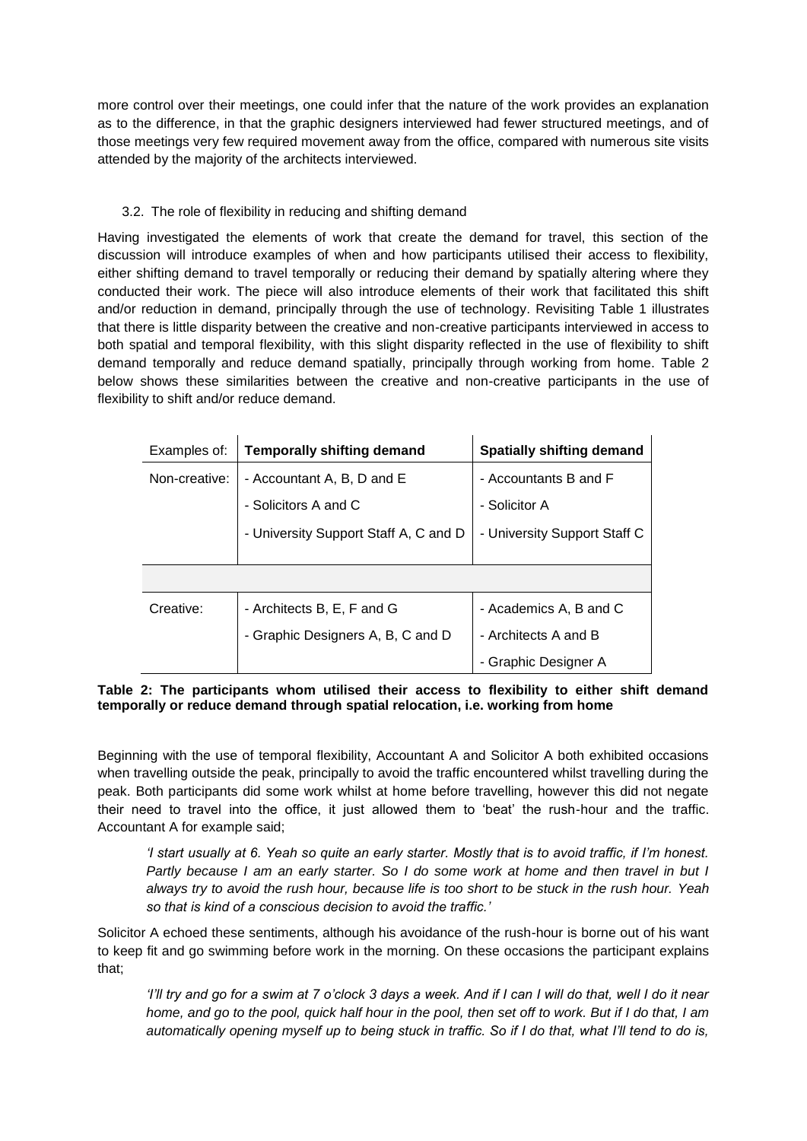more control over their meetings, one could infer that the nature of the work provides an explanation as to the difference, in that the graphic designers interviewed had fewer structured meetings, and of those meetings very few required movement away from the office, compared with numerous site visits attended by the majority of the architects interviewed.

# 3.2. The role of flexibility in reducing and shifting demand

Having investigated the elements of work that create the demand for travel, this section of the discussion will introduce examples of when and how participants utilised their access to flexibility, either shifting demand to travel temporally or reducing their demand by spatially altering where they conducted their work. The piece will also introduce elements of their work that facilitated this shift and/or reduction in demand, principally through the use of technology. Revisiting Table 1 illustrates that there is little disparity between the creative and non-creative participants interviewed in access to both spatial and temporal flexibility, with this slight disparity reflected in the use of flexibility to shift demand temporally and reduce demand spatially, principally through working from home. Table 2 below shows these similarities between the creative and non-creative participants in the use of flexibility to shift and/or reduce demand.

| Examples of:  | <b>Temporally shifting demand</b>     | <b>Spatially shifting demand</b> |  |  |
|---------------|---------------------------------------|----------------------------------|--|--|
| Non-creative: | - Accountant A, B, D and E            | - Accountants B and F            |  |  |
|               | - Solicitors A and C                  | - Solicitor A                    |  |  |
|               | - University Support Staff A, C and D | - University Support Staff C     |  |  |
|               |                                       |                                  |  |  |
|               |                                       |                                  |  |  |
| Creative:     | - Architects B, E, F and G            | - Academics A, B and C           |  |  |
|               | - Graphic Designers A, B, C and D     | - Architects A and B             |  |  |
|               |                                       | - Graphic Designer A             |  |  |

#### **Table 2: The participants whom utilised their access to flexibility to either shift demand temporally or reduce demand through spatial relocation, i.e. working from home**

Beginning with the use of temporal flexibility, Accountant A and Solicitor A both exhibited occasions when travelling outside the peak, principally to avoid the traffic encountered whilst travelling during the peak. Both participants did some work whilst at home before travelling, however this did not negate their need to travel into the office, it just allowed them to 'beat' the rush-hour and the traffic. Accountant A for example said;

*'I start usually at 6. Yeah so quite an early starter. Mostly that is to avoid traffic, if I'm honest. Partly because I am an early starter. So I do some work at home and then travel in but I always try to avoid the rush hour, because life is too short to be stuck in the rush hour. Yeah so that is kind of a conscious decision to avoid the traffic.'*

Solicitor A echoed these sentiments, although his avoidance of the rush-hour is borne out of his want to keep fit and go swimming before work in the morning. On these occasions the participant explains that;

*'I'll try and go for a swim at 7 o'clock 3 days a week. And if I can I will do that, well I do it near home, and go to the pool, quick half hour in the pool, then set off to work. But if I do that, I am automatically opening myself up to being stuck in traffic. So if I do that, what I'll tend to do is,*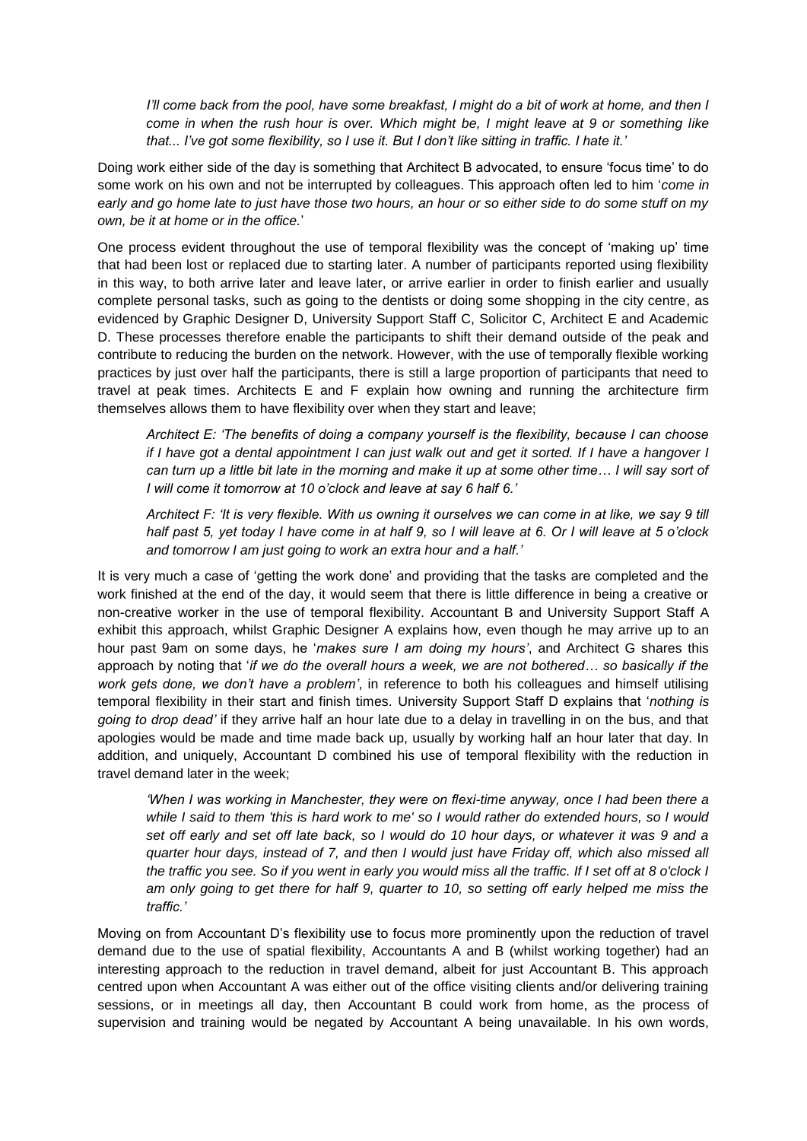*I'll come back from the pool, have some breakfast, I might do a bit of work at home, and then I come in when the rush hour is over. Which might be, I might leave at 9 or something like that... I've got some flexibility, so I use it. But I don't like sitting in traffic. I hate it.'*

Doing work either side of the day is something that Architect B advocated, to ensure 'focus time' to do some work on his own and not be interrupted by colleagues. This approach often led to him '*come in early and go home late to just have those two hours, an hour or so either side to do some stuff on my own, be it at home or in the office.*'

One process evident throughout the use of temporal flexibility was the concept of 'making up' time that had been lost or replaced due to starting later. A number of participants reported using flexibility in this way, to both arrive later and leave later, or arrive earlier in order to finish earlier and usually complete personal tasks, such as going to the dentists or doing some shopping in the city centre, as evidenced by Graphic Designer D, University Support Staff C, Solicitor C, Architect E and Academic D. These processes therefore enable the participants to shift their demand outside of the peak and contribute to reducing the burden on the network. However, with the use of temporally flexible working practices by just over half the participants, there is still a large proportion of participants that need to travel at peak times. Architects E and F explain how owning and running the architecture firm themselves allows them to have flexibility over when they start and leave;

*Architect E: 'The benefits of doing a company yourself is the flexibility, because I can choose if I have got a dental appointment I can just walk out and get it sorted. If I have a hangover I can turn up a little bit late in the morning and make it up at some other time… I will say sort of I will come it tomorrow at 10 o'clock and leave at say 6 half 6.'*

*Architect F: 'It is very flexible. With us owning it ourselves we can come in at like, we say 9 till half past 5, yet today I have come in at half 9, so I will leave at 6. Or I will leave at 5 o'clock and tomorrow I am just going to work an extra hour and a half.'*

It is very much a case of 'getting the work done' and providing that the tasks are completed and the work finished at the end of the day, it would seem that there is little difference in being a creative or non-creative worker in the use of temporal flexibility. Accountant B and University Support Staff A exhibit this approach, whilst Graphic Designer A explains how, even though he may arrive up to an hour past 9am on some days, he '*makes sure I am doing my hours'*, and Architect G shares this approach by noting that '*if we do the overall hours a week, we are not bothered… so basically if the work gets done, we don't have a problem'*, in reference to both his colleagues and himself utilising temporal flexibility in their start and finish times. University Support Staff D explains that '*nothing is going to drop dead'* if they arrive half an hour late due to a delay in travelling in on the bus, and that apologies would be made and time made back up, usually by working half an hour later that day. In addition, and uniquely, Accountant D combined his use of temporal flexibility with the reduction in travel demand later in the week;

*'When I was working in Manchester, they were on flexi-time anyway, once I had been there a while I said to them 'this is hard work to me' so I would rather do extended hours, so I would set off early and set off late back, so I would do 10 hour days, or whatever it was 9 and a quarter hour days, instead of 7, and then I would just have Friday off, which also missed all the traffic you see. So if you went in early you would miss all the traffic. If I set off at 8 o'clock I am only going to get there for half 9, quarter to 10, so setting off early helped me miss the traffic.'*

Moving on from Accountant D's flexibility use to focus more prominently upon the reduction of travel demand due to the use of spatial flexibility, Accountants A and B (whilst working together) had an interesting approach to the reduction in travel demand, albeit for just Accountant B. This approach centred upon when Accountant A was either out of the office visiting clients and/or delivering training sessions, or in meetings all day, then Accountant B could work from home, as the process of supervision and training would be negated by Accountant A being unavailable. In his own words,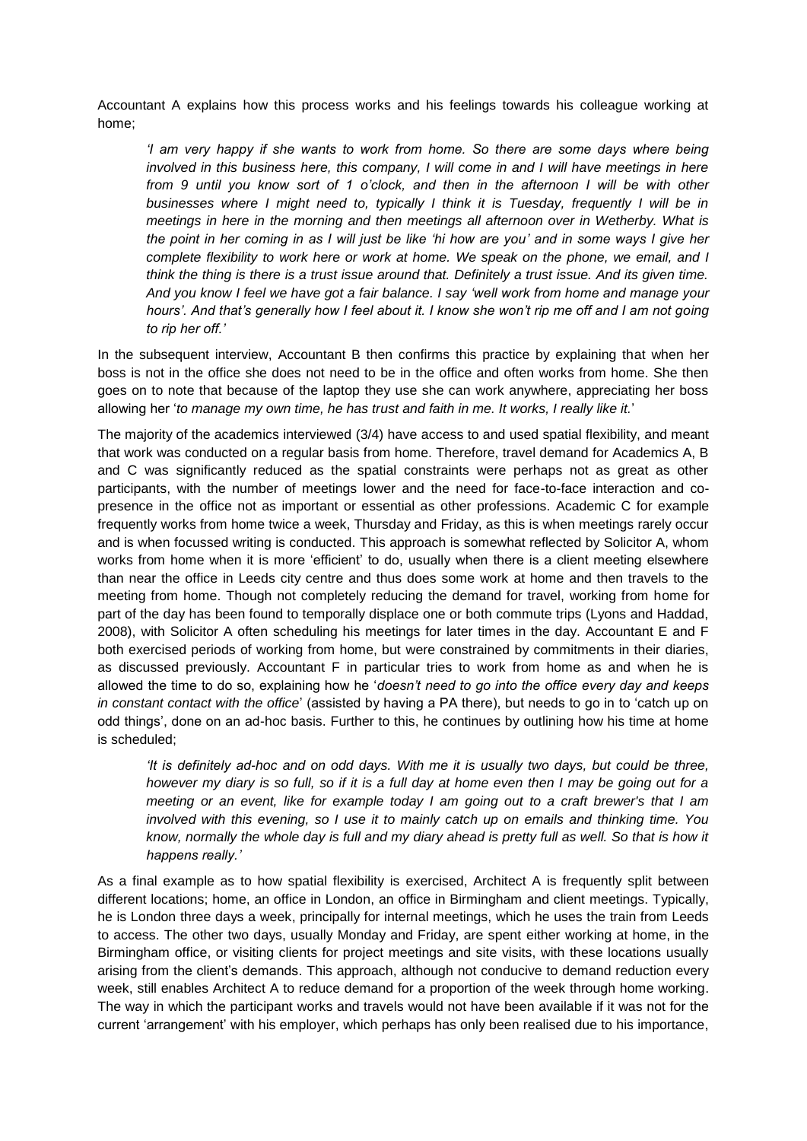Accountant A explains how this process works and his feelings towards his colleague working at home;

*'I am very happy if she wants to work from home. So there are some days where being involved in this business here, this company, I will come in and I will have meetings in here from 9 until you know sort of 1 o'clock, and then in the afternoon I will be with other businesses where I might need to, typically I think it is Tuesday, frequently I will be in meetings in here in the morning and then meetings all afternoon over in Wetherby. What is the point in her coming in as I will just be like 'hi how are you' and in some ways I give her complete flexibility to work here or work at home. We speak on the phone, we email, and I think the thing is there is a trust issue around that. Definitely a trust issue. And its given time. And you know I feel we have got a fair balance. I say 'well work from home and manage your hours'. And that's generally how I feel about it. I know she won't rip me off and I am not going to rip her off.'*

In the subsequent interview, Accountant B then confirms this practice by explaining that when her boss is not in the office she does not need to be in the office and often works from home. She then goes on to note that because of the laptop they use she can work anywhere, appreciating her boss allowing her '*to manage my own time, he has trust and faith in me. It works, I really like it.*'

The majority of the academics interviewed (3/4) have access to and used spatial flexibility, and meant that work was conducted on a regular basis from home. Therefore, travel demand for Academics A, B and C was significantly reduced as the spatial constraints were perhaps not as great as other participants, with the number of meetings lower and the need for face-to-face interaction and copresence in the office not as important or essential as other professions. Academic C for example frequently works from home twice a week, Thursday and Friday, as this is when meetings rarely occur and is when focussed writing is conducted. This approach is somewhat reflected by Solicitor A, whom works from home when it is more 'efficient' to do, usually when there is a client meeting elsewhere than near the office in Leeds city centre and thus does some work at home and then travels to the meeting from home. Though not completely reducing the demand for travel, working from home for part of the day has been found to temporally displace one or both commute trips (Lyons and Haddad, 2008), with Solicitor A often scheduling his meetings for later times in the day. Accountant E and F both exercised periods of working from home, but were constrained by commitments in their diaries, as discussed previously. Accountant F in particular tries to work from home as and when he is allowed the time to do so, explaining how he '*doesn't need to go into the office every day and keeps in constant contact with the office*' (assisted by having a PA there), but needs to go in to 'catch up on odd things', done on an ad-hoc basis. Further to this, he continues by outlining how his time at home is scheduled;

*'It is definitely ad-hoc and on odd days. With me it is usually two days, but could be three, however my diary is so full, so if it is a full day at home even then I may be going out for a meeting or an event, like for example today I am going out to a craft brewer's that I am involved with this evening, so I use it to mainly catch up on emails and thinking time. You know, normally the whole day is full and my diary ahead is pretty full as well. So that is how it happens really.'*

As a final example as to how spatial flexibility is exercised, Architect A is frequently split between different locations; home, an office in London, an office in Birmingham and client meetings. Typically, he is London three days a week, principally for internal meetings, which he uses the train from Leeds to access. The other two days, usually Monday and Friday, are spent either working at home, in the Birmingham office, or visiting clients for project meetings and site visits, with these locations usually arising from the client's demands. This approach, although not conducive to demand reduction every week, still enables Architect A to reduce demand for a proportion of the week through home working. The way in which the participant works and travels would not have been available if it was not for the current 'arrangement' with his employer, which perhaps has only been realised due to his importance,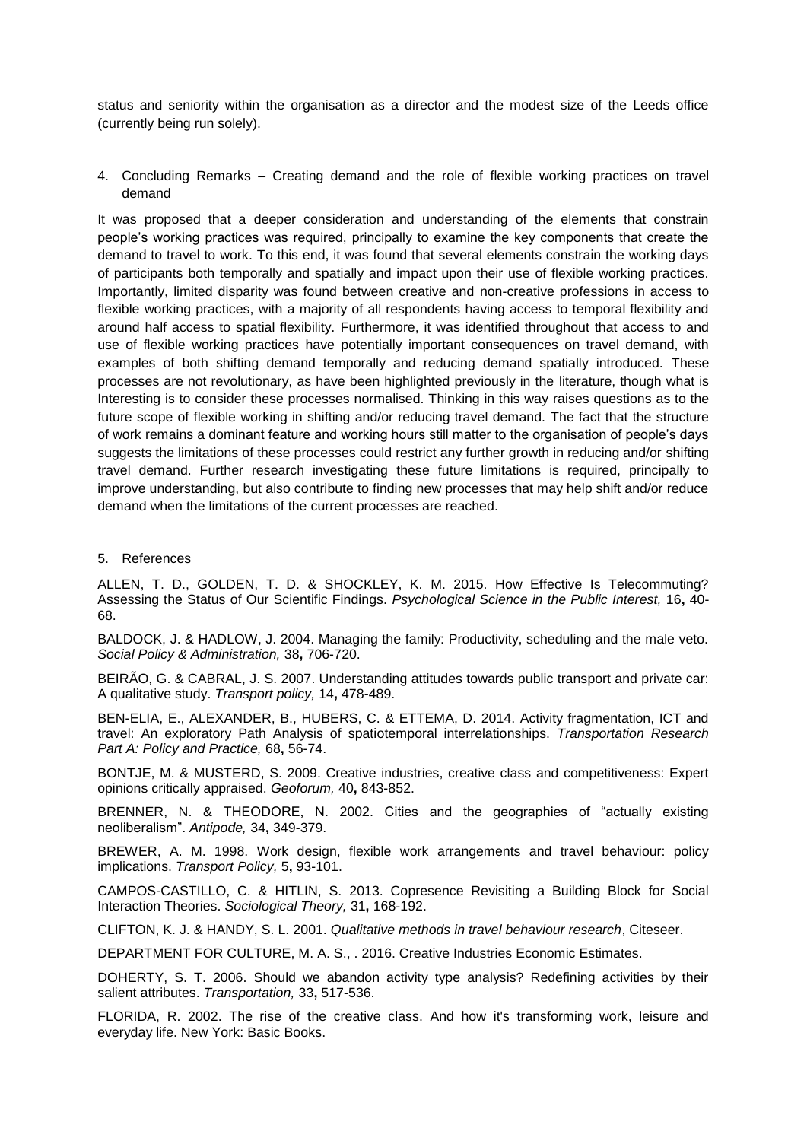status and seniority within the organisation as a director and the modest size of the Leeds office (currently being run solely).

4. Concluding Remarks – Creating demand and the role of flexible working practices on travel demand

It was proposed that a deeper consideration and understanding of the elements that constrain people's working practices was required, principally to examine the key components that create the demand to travel to work. To this end, it was found that several elements constrain the working days of participants both temporally and spatially and impact upon their use of flexible working practices. Importantly, limited disparity was found between creative and non-creative professions in access to flexible working practices, with a majority of all respondents having access to temporal flexibility and around half access to spatial flexibility. Furthermore, it was identified throughout that access to and use of flexible working practices have potentially important consequences on travel demand, with examples of both shifting demand temporally and reducing demand spatially introduced. These processes are not revolutionary, as have been highlighted previously in the literature, though what is Interesting is to consider these processes normalised. Thinking in this way raises questions as to the future scope of flexible working in shifting and/or reducing travel demand. The fact that the structure of work remains a dominant feature and working hours still matter to the organisation of people's days suggests the limitations of these processes could restrict any further growth in reducing and/or shifting travel demand. Further research investigating these future limitations is required, principally to improve understanding, but also contribute to finding new processes that may help shift and/or reduce demand when the limitations of the current processes are reached.

#### 5. References

ALLEN, T. D., GOLDEN, T. D. & SHOCKLEY, K. M. 2015. How Effective Is Telecommuting? Assessing the Status of Our Scientific Findings. *Psychological Science in the Public Interest,* 16**,** 40- 68.

BALDOCK, J. & HADLOW, J. 2004. Managing the family: Productivity, scheduling and the male veto. *Social Policy & Administration,* 38**,** 706-720.

BEIRÃO, G. & CABRAL, J. S. 2007. Understanding attitudes towards public transport and private car: A qualitative study. *Transport policy,* 14**,** 478-489.

BEN-ELIA, E., ALEXANDER, B., HUBERS, C. & ETTEMA, D. 2014. Activity fragmentation, ICT and travel: An exploratory Path Analysis of spatiotemporal interrelationships. *Transportation Research Part A: Policy and Practice,* 68**,** 56-74.

BONTJE, M. & MUSTERD, S. 2009. Creative industries, creative class and competitiveness: Expert opinions critically appraised. *Geoforum,* 40**,** 843-852.

BRENNER, N. & THEODORE, N. 2002. Cities and the geographies of "actually existing neoliberalism". *Antipode,* 34**,** 349-379.

BREWER, A. M. 1998. Work design, flexible work arrangements and travel behaviour: policy implications. *Transport Policy,* 5**,** 93-101.

CAMPOS-CASTILLO, C. & HITLIN, S. 2013. Copresence Revisiting a Building Block for Social Interaction Theories. *Sociological Theory,* 31**,** 168-192.

CLIFTON, K. J. & HANDY, S. L. 2001. *Qualitative methods in travel behaviour research*, Citeseer.

DEPARTMENT FOR CULTURE, M. A. S., . 2016. Creative Industries Economic Estimates.

DOHERTY, S. T. 2006. Should we abandon activity type analysis? Redefining activities by their salient attributes. *Transportation,* 33**,** 517-536.

FLORIDA, R. 2002. The rise of the creative class. And how it's transforming work, leisure and everyday life. New York: Basic Books.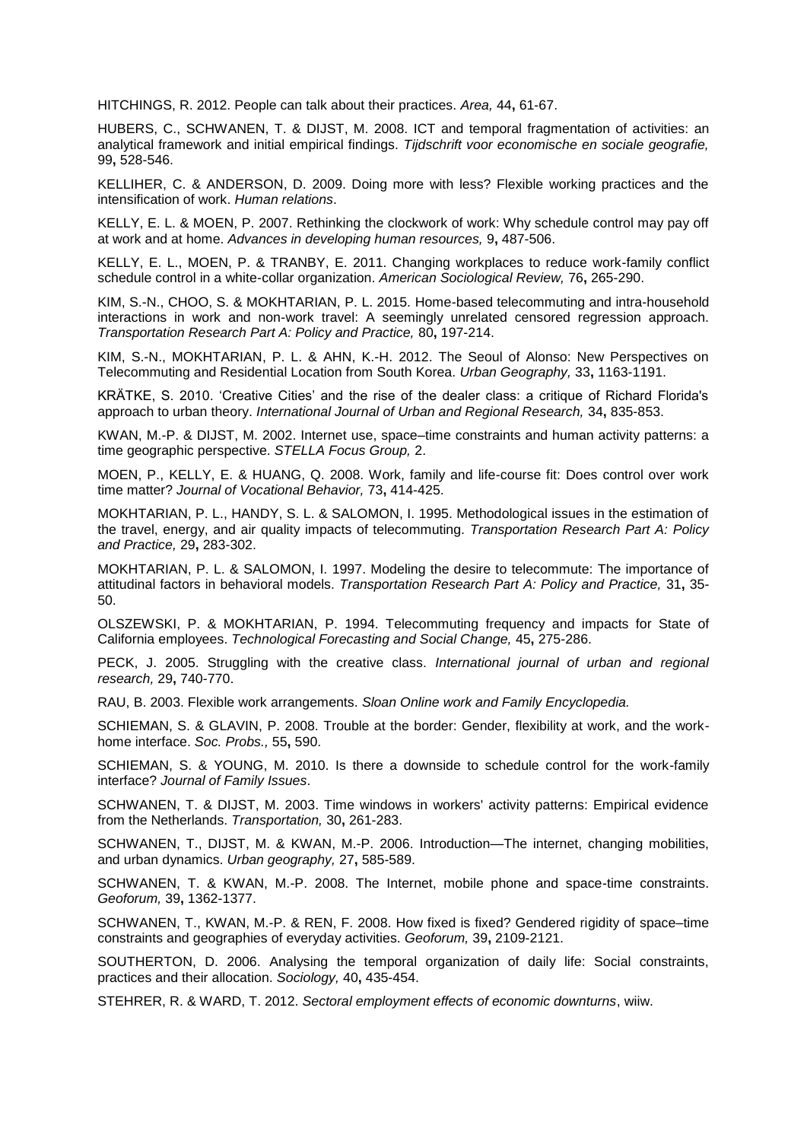HITCHINGS, R. 2012. People can talk about their practices. *Area,* 44**,** 61-67.

HUBERS, C., SCHWANEN, T. & DIJST, M. 2008. ICT and temporal fragmentation of activities: an analytical framework and initial empirical findings. *Tijdschrift voor economische en sociale geografie,* 99**,** 528-546.

KELLIHER, C. & ANDERSON, D. 2009. Doing more with less? Flexible working practices and the intensification of work. *Human relations*.

KELLY, E. L. & MOEN, P. 2007. Rethinking the clockwork of work: Why schedule control may pay off at work and at home. *Advances in developing human resources,* 9**,** 487-506.

KELLY, E. L., MOEN, P. & TRANBY, E. 2011. Changing workplaces to reduce work-family conflict schedule control in a white-collar organization. *American Sociological Review,* 76**,** 265-290.

KIM, S.-N., CHOO, S. & MOKHTARIAN, P. L. 2015. Home-based telecommuting and intra-household interactions in work and non-work travel: A seemingly unrelated censored regression approach. *Transportation Research Part A: Policy and Practice,* 80**,** 197-214.

KIM, S.-N., MOKHTARIAN, P. L. & AHN, K.-H. 2012. The Seoul of Alonso: New Perspectives on Telecommuting and Residential Location from South Korea. *Urban Geography,* 33**,** 1163-1191.

KRÄTKE, S. 2010. 'Creative Cities' and the rise of the dealer class: a critique of Richard Florida's approach to urban theory. *International Journal of Urban and Regional Research,* 34**,** 835-853.

KWAN, M.-P. & DIJST, M. 2002. Internet use, space–time constraints and human activity patterns: a time geographic perspective. *STELLA Focus Group,* 2.

MOEN, P., KELLY, E. & HUANG, Q. 2008. Work, family and life-course fit: Does control over work time matter? *Journal of Vocational Behavior,* 73**,** 414-425.

MOKHTARIAN, P. L., HANDY, S. L. & SALOMON, I. 1995. Methodological issues in the estimation of the travel, energy, and air quality impacts of telecommuting. *Transportation Research Part A: Policy and Practice,* 29**,** 283-302.

MOKHTARIAN, P. L. & SALOMON, I. 1997. Modeling the desire to telecommute: The importance of attitudinal factors in behavioral models. *Transportation Research Part A: Policy and Practice,* 31**,** 35- 50.

OLSZEWSKI, P. & MOKHTARIAN, P. 1994. Telecommuting frequency and impacts for State of California employees. *Technological Forecasting and Social Change,* 45**,** 275-286.

PECK, J. 2005. Struggling with the creative class. *International journal of urban and regional research,* 29**,** 740-770.

RAU, B. 2003. Flexible work arrangements. *Sloan Online work and Family Encyclopedia.*

SCHIEMAN, S. & GLAVIN, P. 2008. Trouble at the border: Gender, flexibility at work, and the workhome interface. *Soc. Probs.,* 55**,** 590.

SCHIEMAN, S. & YOUNG, M. 2010. Is there a downside to schedule control for the work-family interface? *Journal of Family Issues*.

SCHWANEN, T. & DIJST, M. 2003. Time windows in workers' activity patterns: Empirical evidence from the Netherlands. *Transportation,* 30**,** 261-283.

SCHWANEN, T., DIJST, M. & KWAN, M.-P. 2006. Introduction—The internet, changing mobilities, and urban dynamics. *Urban geography,* 27**,** 585-589.

SCHWANEN, T. & KWAN, M.-P. 2008. The Internet, mobile phone and space-time constraints. *Geoforum,* 39**,** 1362-1377.

SCHWANEN, T., KWAN, M.-P. & REN, F. 2008. How fixed is fixed? Gendered rigidity of space–time constraints and geographies of everyday activities. *Geoforum,* 39**,** 2109-2121.

SOUTHERTON, D. 2006. Analysing the temporal organization of daily life: Social constraints, practices and their allocation. *Sociology,* 40**,** 435-454.

STEHRER, R. & WARD, T. 2012. *Sectoral employment effects of economic downturns*, wiiw.